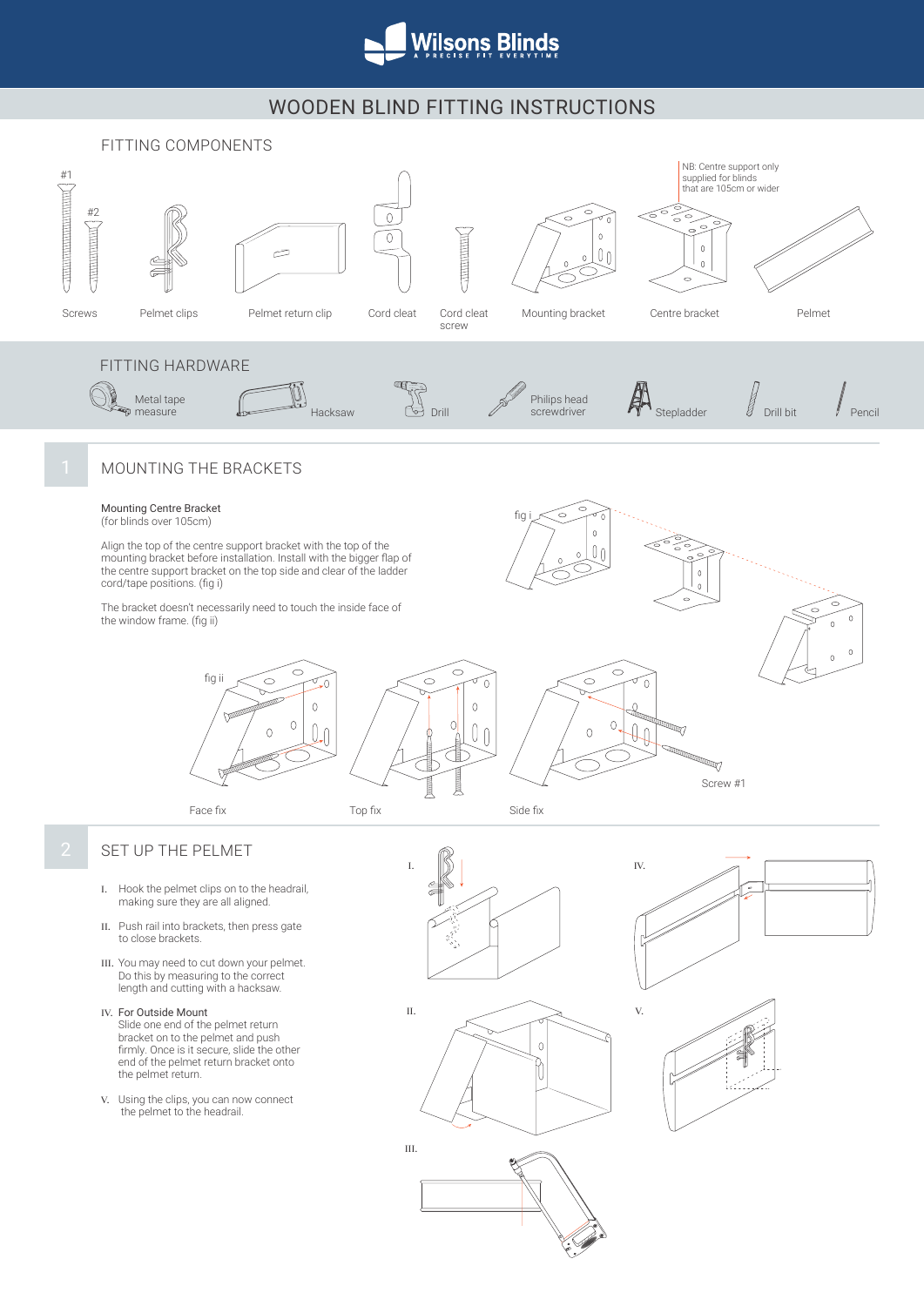

# WOODEN BLIND FITTING INSTRUCTIONS